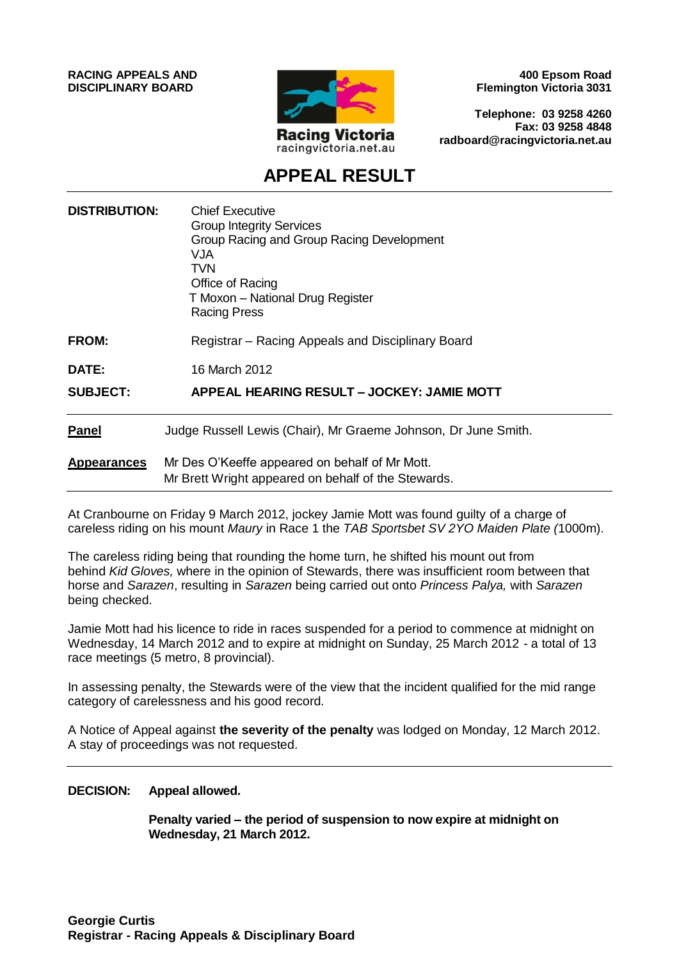**RACING APPEALS AND DISCIPLINARY BOARD**



**400 Epsom Road Flemington Victoria 3031**

**Telephone: 03 9258 4260 Fax: 03 9258 4848 radboard@racingvictoria.net.au**

# **APPEAL RESULT**

| <b>DISTRIBUTION:</b> | <b>Chief Executive</b><br><b>Group Integrity Services</b><br>Group Racing and Group Racing Development<br>VJA<br>TVN<br>Office of Racing<br>T Moxon - National Drug Register<br><b>Racing Press</b> |
|----------------------|-----------------------------------------------------------------------------------------------------------------------------------------------------------------------------------------------------|
| <b>FROM:</b>         | Registrar – Racing Appeals and Disciplinary Board                                                                                                                                                   |
| DATE:                | 16 March 2012                                                                                                                                                                                       |
| <b>SUBJECT:</b>      | APPEAL HEARING RESULT – JOCKEY: JAMIE MOTT                                                                                                                                                          |
| <b>Panel</b>         | Judge Russell Lewis (Chair), Mr Graeme Johnson, Dr June Smith.                                                                                                                                      |
| <b>Appearances</b>   | Mr Des O'Keeffe appeared on behalf of Mr Mott.<br>Mr Brett Wright appeared on behalf of the Stewards.                                                                                               |

At Cranbourne on Friday 9 March 2012, jockey Jamie Mott was found guilty of a charge of careless riding on his mount *Maury* in Race 1 the *TAB Sportsbet SV 2YO Maiden Plate (*1000m).

The careless riding being that rounding the home turn, he shifted his mount out from behind *Kid Gloves,* where in the opinion of Stewards, there was insufficient room between that horse and *Sarazen*, resulting in *Sarazen* being carried out onto *Princess Palya,* with *Sarazen*  being checked.

Jamie Mott had his licence to ride in races suspended for a period to commence at midnight on Wednesday, 14 March 2012 and to expire at midnight on Sunday, 25 March 2012 - a total of 13 race meetings (5 metro, 8 provincial).

In assessing penalty, the Stewards were of the view that the incident qualified for the mid range category of carelessness and his good record.

A Notice of Appeal against **the severity of the penalty** was lodged on Monday, 12 March 2012. A stay of proceedings was not requested.

#### **DECISION: Appeal allowed.**

**Penalty varied – the period of suspension to now expire at midnight on Wednesday, 21 March 2012.**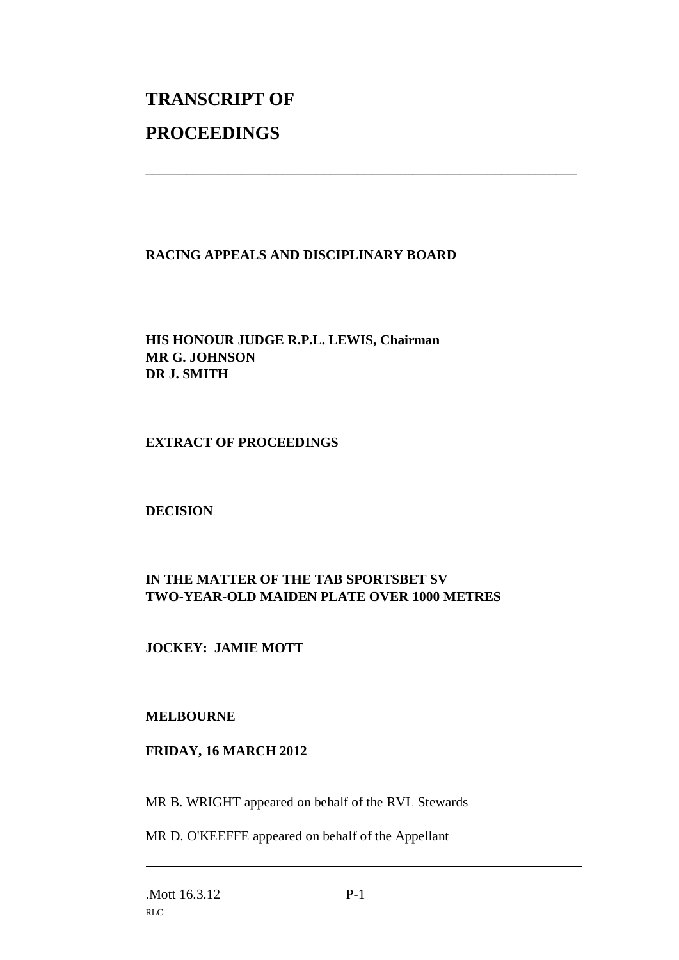# **TRANSCRIPT OF PROCEEDINGS**

# **RACING APPEALS AND DISCIPLINARY BOARD**

\_\_\_\_\_\_\_\_\_\_\_\_\_\_\_\_\_\_\_\_\_\_\_\_\_\_\_\_\_\_\_\_\_\_\_\_\_\_\_\_\_\_\_\_\_\_\_\_\_\_\_\_\_\_\_\_\_\_\_\_\_\_\_

# **HIS HONOUR JUDGE R.P.L. LEWIS, Chairman MR G. JOHNSON DR J. SMITH**

### **EXTRACT OF PROCEEDINGS**

#### **DECISION**

# **IN THE MATTER OF THE TAB SPORTSBET SV TWO-YEAR-OLD MAIDEN PLATE OVER 1000 METRES**

# **JOCKEY: JAMIE MOTT**

#### **MELBOURNE**

#### **FRIDAY, 16 MARCH 2012**

MR B. WRIGHT appeared on behalf of the RVL Stewards

MR D. O'KEEFFE appeared on behalf of the Appellant